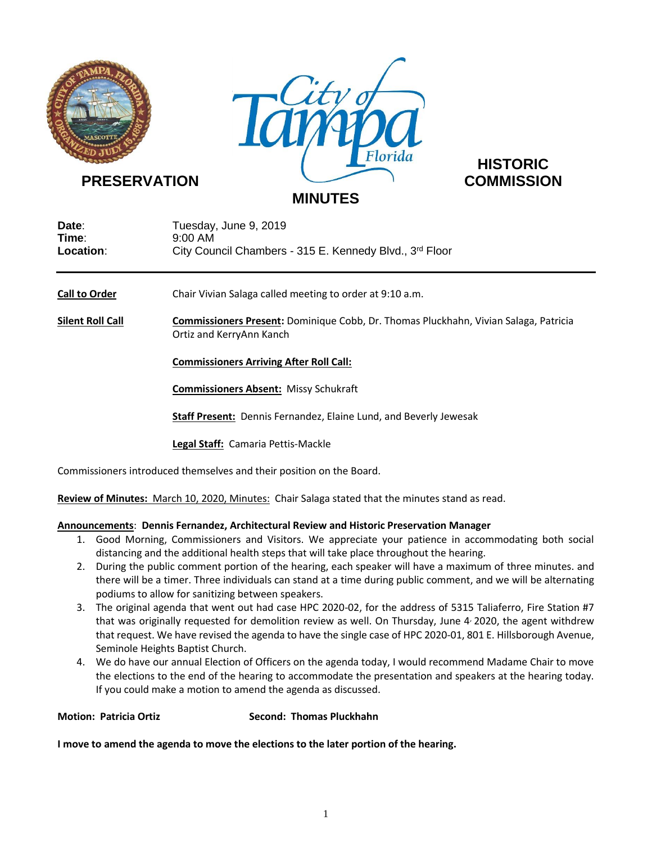



# **HISTORIC**

| Date:     | Tuesday, June 9, 2019                                   |
|-----------|---------------------------------------------------------|
| Time:     | 9:00 AM                                                 |
| Location: | City Council Chambers - 315 E. Kennedy Blvd., 3rd Floor |

**Call to Order** Chair Vivian Salaga called meeting to order at 9:10 a.m.

**Silent Roll Call Commissioners Present:** Dominique Cobb, Dr. Thomas Pluckhahn, Vivian Salaga, Patricia Ortiz and KerryAnn Kanch

**Commissioners Arriving After Roll Call:**

**Commissioners Absent:** Missy Schukraft

**Staff Present:** Dennis Fernandez, Elaine Lund, and Beverly Jewesak

**Legal Staff:** Camaria Pettis-Mackle

Commissioners introduced themselves and their position on the Board.

**Review of Minutes:** March 10, 2020, Minutes:Chair Salaga stated that the minutes stand as read.

## **Announcements**: **Dennis Fernandez, Architectural Review and Historic Preservation Manager**

- 1. Good Morning, Commissioners and Visitors. We appreciate your patience in accommodating both social distancing and the additional health steps that will take place throughout the hearing.
- 2. During the public comment portion of the hearing, each speaker will have a maximum of three minutes. and there will be a timer. Three individuals can stand at a time during public comment, and we will be alternating podiums to allow for sanitizing between speakers.
- 3. The original agenda that went out had case HPC 2020-02, for the address of 5315 Taliaferro, Fire Station #7 that was originally requested for demolition review as well. On Thursday, June 4 2020, the agent withdrew that request. We have revised the agenda to have the single case of HPC 2020-01, 801 E. Hillsborough Avenue, Seminole Heights Baptist Church.
- 4. We do have our annual Election of Officers on the agenda today, I would recommend Madame Chair to move the elections to the end of the hearing to accommodate the presentation and speakers at the hearing today. If you could make a motion to amend the agenda as discussed.

**Motion: Patricia Ortiz Second: Thomas Pluckhahn**

**I move to amend the agenda to move the elections to the later portion of the hearing.**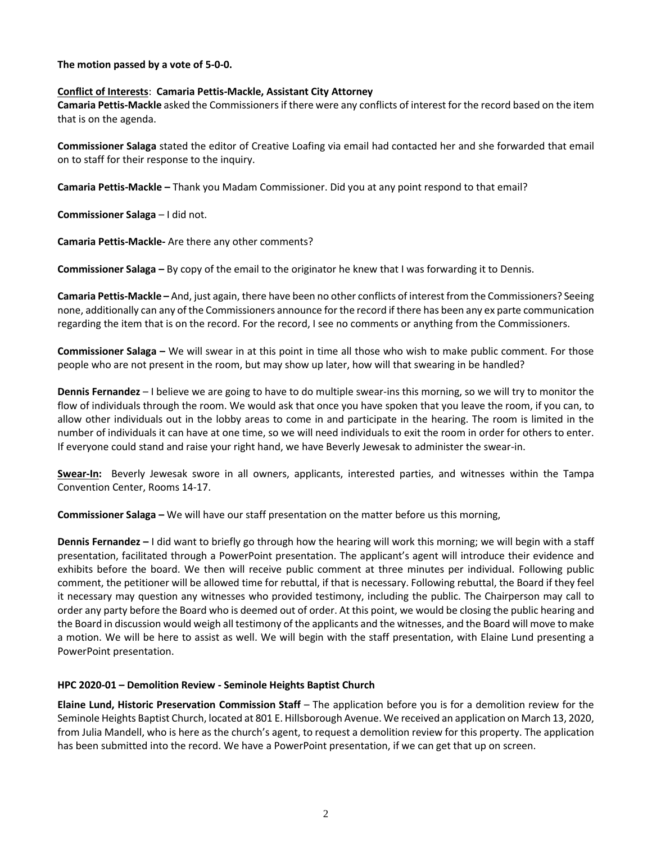**The motion passed by a vote of 5-0-0.**

## **Conflict of Interests**: **Camaria Pettis-Mackle, Assistant City Attorney**

**Camaria Pettis-Mackle** asked the Commissionersif there were any conflicts of interest for the record based on the item that is on the agenda.

**Commissioner Salaga** stated the editor of Creative Loafing via email had contacted her and she forwarded that email on to staff for their response to the inquiry.

**Camaria Pettis-Mackle –** Thank you Madam Commissioner. Did you at any point respond to that email?

**Commissioner Salaga** – I did not.

**Camaria Pettis-Mackle-** Are there any other comments?

**Commissioner Salaga –** By copy of the email to the originator he knew that I was forwarding it to Dennis.

**Camaria Pettis-Mackle –** And, just again, there have been no other conflicts of interest from the Commissioners? Seeing none, additionally can any of the Commissioners announce for the record if there has been any ex parte communication regarding the item that is on the record. For the record, I see no comments or anything from the Commissioners.

**Commissioner Salaga –** We will swear in at this point in time all those who wish to make public comment. For those people who are not present in the room, but may show up later, how will that swearing in be handled?

**Dennis Fernandez** – I believe we are going to have to do multiple swear-ins this morning, so we will try to monitor the flow of individuals through the room. We would ask that once you have spoken that you leave the room, if you can, to allow other individuals out in the lobby areas to come in and participate in the hearing. The room is limited in the number of individuals it can have at one time, so we will need individuals to exit the room in order for others to enter. If everyone could stand and raise your right hand, we have Beverly Jewesak to administer the swear-in.

**Swear-In:** Beverly Jewesak swore in all owners, applicants, interested parties, and witnesses within the Tampa Convention Center, Rooms 14-17.

**Commissioner Salaga –** We will have our staff presentation on the matter before us this morning,

**Dennis Fernandez –** I did want to briefly go through how the hearing will work this morning; we will begin with a staff presentation, facilitated through a PowerPoint presentation. The applicant's agent will introduce their evidence and exhibits before the board. We then will receive public comment at three minutes per individual. Following public comment, the petitioner will be allowed time for rebuttal, if that is necessary. Following rebuttal, the Board if they feel it necessary may question any witnesses who provided testimony, including the public. The Chairperson may call to order any party before the Board who is deemed out of order. At this point, we would be closing the public hearing and the Board in discussion would weigh all testimony of the applicants and the witnesses, and the Board will move to make a motion. We will be here to assist as well. We will begin with the staff presentation, with Elaine Lund presenting a PowerPoint presentation.

## **HPC 2020-01 – Demolition Review - Seminole Heights Baptist Church**

**Elaine Lund, Historic Preservation Commission Staff** – The application before you is for a demolition review for the Seminole Heights Baptist Church, located at 801 E. Hillsborough Avenue. We received an application on March 13, 2020, from Julia Mandell, who is here as the church's agent, to request a demolition review for this property. The application has been submitted into the record. We have a PowerPoint presentation, if we can get that up on screen.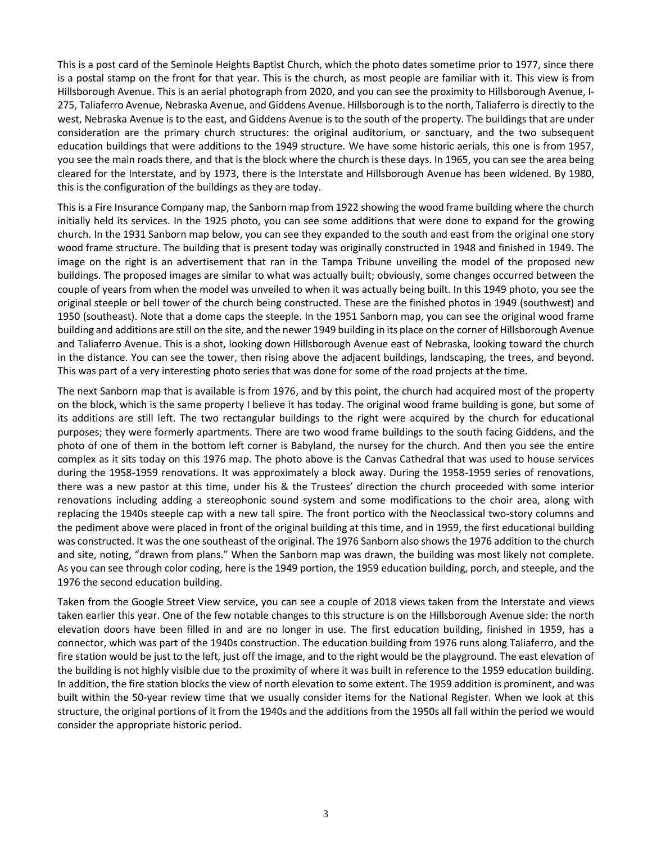This is a post card of the Seminole Heights Baptist Church, which the photo dates sometime prior to 1977, since there is a postal stamp on the front for that year. This is the church, as most people are familiar with it. This view is from Hillsborough Avenue. This is an aerial photograph from 2020, and you can see the proximity to Hillsborough Avenue, I-275, Taliaferro Avenue, Nebraska Avenue, and Giddens Avenue. Hillsborough is to the north, Taliaferro is directly to the west, Nebraska Avenue is to the east, and Giddens Avenue is to the south of the property. The buildings that are under consideration are the primary church structures: the original auditorium, or sanctuary, and the two subsequent education buildings that were additions to the 1949 structure. We have some historic aerials, this one is from 1957, you see the main roads there, and that is the block where the church is these days. In 1965, you can see the area being cleared for the Interstate, and by 1973, there is the Interstate and Hillsborough Avenue has been widened. By 1980, this is the configuration of the buildings as they are today.

This is a Fire Insurance Company map, the Sanborn map from 1922 showing the wood frame building where the church initially held its services. In the 1925 photo, you can see some additions that were done to expand for the growing church. In the 1931 Sanborn map below, you can see they expanded to the south and east from the original one story wood frame structure. The building that is present today was originally constructed in 1948 and finished in 1949. The image on the right is an advertisement that ran in the Tampa Tribune unveiling the model of the proposed new buildings. The proposed images are similar to what was actually built; obviously, some changes occurred between the couple of years from when the model was unveiled to when it was actually being built. In this 1949 photo, you see the original steeple or bell tower of the church being constructed. These are the finished photos in 1949 (southwest) and 1950 (southeast). Note that a dome caps the steeple. In the 1951 Sanborn map, you can see the original wood frame building and additions are still on the site, and the newer 1949 building in its place on the corner of Hillsborough Avenue and Taliaferro Avenue. This is a shot, looking down Hillsborough Avenue east of Nebraska, looking toward the church in the distance. You can see the tower, then rising above the adjacent buildings, landscaping, the trees, and beyond. This was part of a very interesting photo series that was done for some of the road projects at the time.

The next Sanborn map that is available is from 1976, and by this point, the church had acquired most of the property on the block, which is the same property I believe it has today. The original wood frame building is gone, but some of its additions are still left. The two rectangular buildings to the right were acquired by the church for educational purposes; they were formerly apartments. There are two wood frame buildings to the south facing Giddens, and the photo of one of them in the bottom left corner is Babyland, the nursey for the church. And then you see the entire complex as it sits today on this 1976 map. The photo above is the Canvas Cathedral that was used to house services during the 1958-1959 renovations. It was approximately a block away. During the 1958-1959 series of renovations, there was a new pastor at this time, under his & the Trustees' direction the church proceeded with some interior renovations including adding a stereophonic sound system and some modifications to the choir area, along with replacing the 1940s steeple cap with a new tall spire. The front portico with the Neoclassical two-story columns and the pediment above were placed in front of the original building at this time, and in 1959, the first educational building was constructed. It was the one southeast of the original. The 1976 Sanborn also shows the 1976 addition to the church and site, noting, "drawn from plans." When the Sanborn map was drawn, the building was most likely not complete. As you can see through color coding, here is the 1949 portion, the 1959 education building, porch, and steeple, and the 1976 the second education building.

Taken from the Google Street View service, you can see a couple of 2018 views taken from the Interstate and views taken earlier this year. One of the few notable changes to this structure is on the Hillsborough Avenue side: the north elevation doors have been filled in and are no longer in use. The first education building, finished in 1959, has a connector, which was part of the 1940s construction. The education building from 1976 runs along Taliaferro, and the fire station would be just to the left, just off the image, and to the right would be the playground. The east elevation of the building is not highly visible due to the proximity of where it was built in reference to the 1959 education building. In addition, the fire station blocks the view of north elevation to some extent. The 1959 addition is prominent, and was built within the 50-year review time that we usually consider items for the National Register. When we look at this structure, the original portions of it from the 1940s and the additions from the 1950s all fall within the period we would consider the appropriate historic period.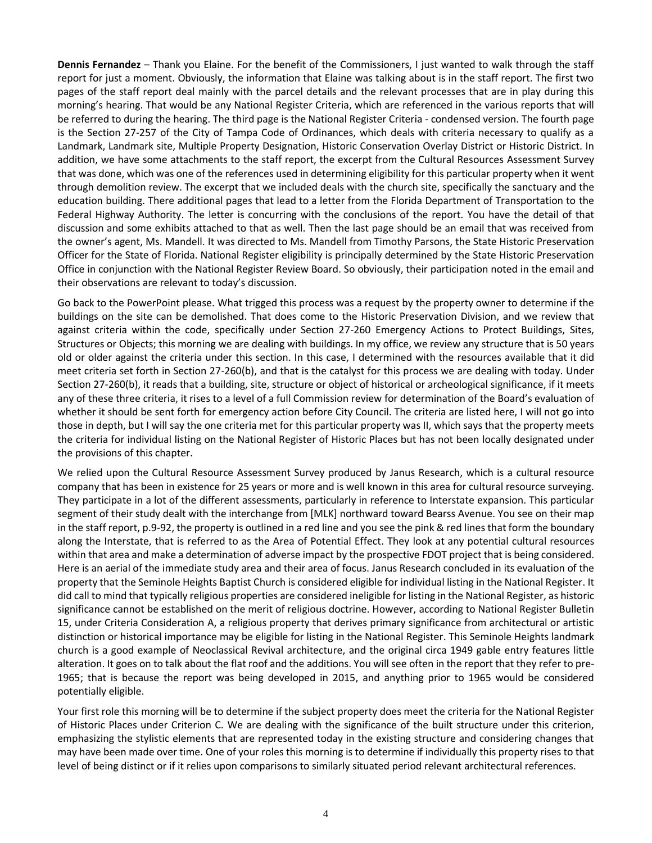**Dennis Fernandez** – Thank you Elaine. For the benefit of the Commissioners, I just wanted to walk through the staff report for just a moment. Obviously, the information that Elaine was talking about is in the staff report. The first two pages of the staff report deal mainly with the parcel details and the relevant processes that are in play during this morning's hearing. That would be any National Register Criteria, which are referenced in the various reports that will be referred to during the hearing. The third page is the National Register Criteria - condensed version. The fourth page is the Section 27-257 of the City of Tampa Code of Ordinances, which deals with criteria necessary to qualify as a Landmark, Landmark site, Multiple Property Designation, Historic Conservation Overlay District or Historic District. In addition, we have some attachments to the staff report, the excerpt from the Cultural Resources Assessment Survey that was done, which was one of the references used in determining eligibility for this particular property when it went through demolition review. The excerpt that we included deals with the church site, specifically the sanctuary and the education building. There additional pages that lead to a letter from the Florida Department of Transportation to the Federal Highway Authority. The letter is concurring with the conclusions of the report. You have the detail of that discussion and some exhibits attached to that as well. Then the last page should be an email that was received from the owner's agent, Ms. Mandell. It was directed to Ms. Mandell from Timothy Parsons, the State Historic Preservation Officer for the State of Florida. National Register eligibility is principally determined by the State Historic Preservation Office in conjunction with the National Register Review Board. So obviously, their participation noted in the email and their observations are relevant to today's discussion.

Go back to the PowerPoint please. What trigged this process was a request by the property owner to determine if the buildings on the site can be demolished. That does come to the Historic Preservation Division, and we review that against criteria within the code, specifically under Section 27-260 Emergency Actions to Protect Buildings, Sites, Structures or Objects; this morning we are dealing with buildings. In my office, we review any structure that is 50 years old or older against the criteria under this section. In this case, I determined with the resources available that it did meet criteria set forth in Section 27-260(b), and that is the catalyst for this process we are dealing with today. Under Section 27-260(b), it reads that a building, site, structure or object of historical or archeological significance, if it meets any of these three criteria, it rises to a level of a full Commission review for determination of the Board's evaluation of whether it should be sent forth for emergency action before City Council. The criteria are listed here, I will not go into those in depth, but I will say the one criteria met for this particular property was II, which says that the property meets the criteria for individual listing on the National Register of Historic Places but has not been locally designated under the provisions of this chapter.

We relied upon the Cultural Resource Assessment Survey produced by Janus Research, which is a cultural resource company that has been in existence for 25 years or more and is well known in this area for cultural resource surveying. They participate in a lot of the different assessments, particularly in reference to Interstate expansion. This particular segment of their study dealt with the interchange from [MLK] northward toward Bearss Avenue. You see on their map in the staff report, p.9-92, the property is outlined in a red line and you see the pink & red lines that form the boundary along the Interstate, that is referred to as the Area of Potential Effect. They look at any potential cultural resources within that area and make a determination of adverse impact by the prospective FDOT project that is being considered. Here is an aerial of the immediate study area and their area of focus. Janus Research concluded in its evaluation of the property that the Seminole Heights Baptist Church is considered eligible for individual listing in the National Register. It did call to mind that typically religious properties are considered ineligible for listing in the National Register, as historic significance cannot be established on the merit of religious doctrine. However, according to National Register Bulletin 15, under Criteria Consideration A, a religious property that derives primary significance from architectural or artistic distinction or historical importance may be eligible for listing in the National Register. This Seminole Heights landmark church is a good example of Neoclassical Revival architecture, and the original circa 1949 gable entry features little alteration. It goes on to talk about the flat roof and the additions. You will see often in the report that they refer to pre-1965; that is because the report was being developed in 2015, and anything prior to 1965 would be considered potentially eligible.

Your first role this morning will be to determine if the subject property does meet the criteria for the National Register of Historic Places under Criterion C. We are dealing with the significance of the built structure under this criterion, emphasizing the stylistic elements that are represented today in the existing structure and considering changes that may have been made over time. One of your roles this morning is to determine if individually this property rises to that level of being distinct or if it relies upon comparisons to similarly situated period relevant architectural references.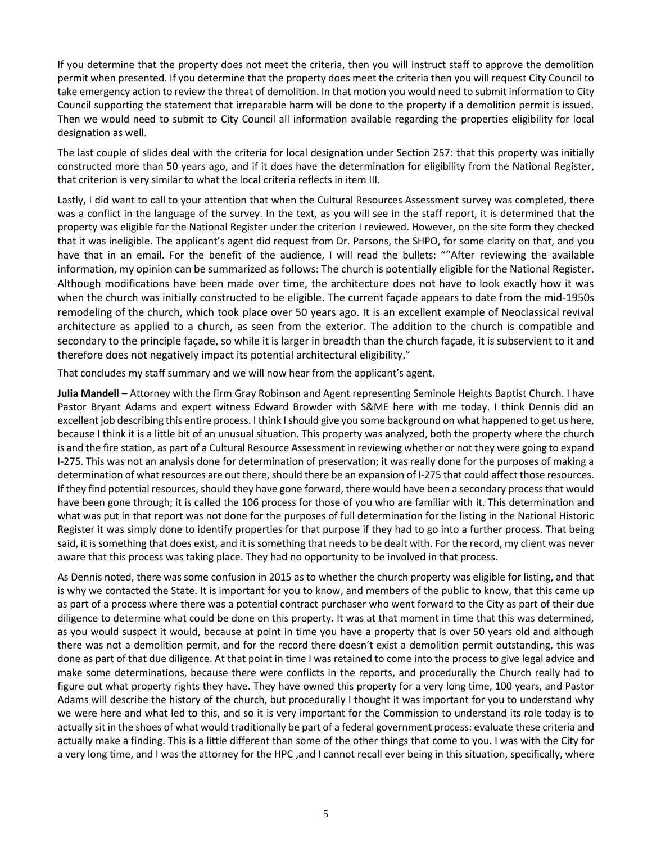If you determine that the property does not meet the criteria, then you will instruct staff to approve the demolition permit when presented. If you determine that the property does meet the criteria then you will request City Council to take emergency action to review the threat of demolition. In that motion you would need to submit information to City Council supporting the statement that irreparable harm will be done to the property if a demolition permit is issued. Then we would need to submit to City Council all information available regarding the properties eligibility for local designation as well.

The last couple of slides deal with the criteria for local designation under Section 257: that this property was initially constructed more than 50 years ago, and if it does have the determination for eligibility from the National Register, that criterion is very similar to what the local criteria reflects in item III.

Lastly, I did want to call to your attention that when the Cultural Resources Assessment survey was completed, there was a conflict in the language of the survey. In the text, as you will see in the staff report, it is determined that the property was eligible for the National Register under the criterion I reviewed. However, on the site form they checked that it was ineligible. The applicant's agent did request from Dr. Parsons, the SHPO, for some clarity on that, and you have that in an email. For the benefit of the audience, I will read the bullets: ""After reviewing the available information, my opinion can be summarized as follows: The church is potentially eligible for the National Register. Although modifications have been made over time, the architecture does not have to look exactly how it was when the church was initially constructed to be eligible. The current façade appears to date from the mid-1950s remodeling of the church, which took place over 50 years ago. It is an excellent example of Neoclassical revival architecture as applied to a church, as seen from the exterior. The addition to the church is compatible and secondary to the principle façade, so while it is larger in breadth than the church façade, it is subservient to it and therefore does not negatively impact its potential architectural eligibility."

That concludes my staff summary and we will now hear from the applicant's agent.

**Julia Mandell** – Attorney with the firm Gray Robinson and Agent representing Seminole Heights Baptist Church. I have Pastor Bryant Adams and expert witness Edward Browder with S&ME here with me today. I think Dennis did an excellent job describing this entire process. I think I should give you some background on what happened to get us here, because I think it is a little bit of an unusual situation. This property was analyzed, both the property where the church is and the fire station, as part of a Cultural Resource Assessment in reviewing whether or not they were going to expand I-275. This was not an analysis done for determination of preservation; it was really done for the purposes of making a determination of what resources are out there, should there be an expansion of I-275 that could affect those resources. If they find potential resources, should they have gone forward, there would have been a secondary process that would have been gone through; it is called the 106 process for those of you who are familiar with it. This determination and what was put in that report was not done for the purposes of full determination for the listing in the National Historic Register it was simply done to identify properties for that purpose if they had to go into a further process. That being said, it is something that does exist, and it is something that needs to be dealt with. For the record, my client was never aware that this process was taking place. They had no opportunity to be involved in that process.

As Dennis noted, there was some confusion in 2015 as to whether the church property was eligible for listing, and that is why we contacted the State. It is important for you to know, and members of the public to know, that this came up as part of a process where there was a potential contract purchaser who went forward to the City as part of their due diligence to determine what could be done on this property. It was at that moment in time that this was determined, as you would suspect it would, because at point in time you have a property that is over 50 years old and although there was not a demolition permit, and for the record there doesn't exist a demolition permit outstanding, this was done as part of that due diligence. At that point in time I was retained to come into the process to give legal advice and make some determinations, because there were conflicts in the reports, and procedurally the Church really had to figure out what property rights they have. They have owned this property for a very long time, 100 years, and Pastor Adams will describe the history of the church, but procedurally I thought it was important for you to understand why we were here and what led to this, and so it is very important for the Commission to understand its role today is to actually sit in the shoes of what would traditionally be part of a federal government process: evaluate these criteria and actually make a finding. This is a little different than some of the other things that come to you. I was with the City for a very long time, and I was the attorney for the HPC ,and I cannot recall ever being in this situation, specifically, where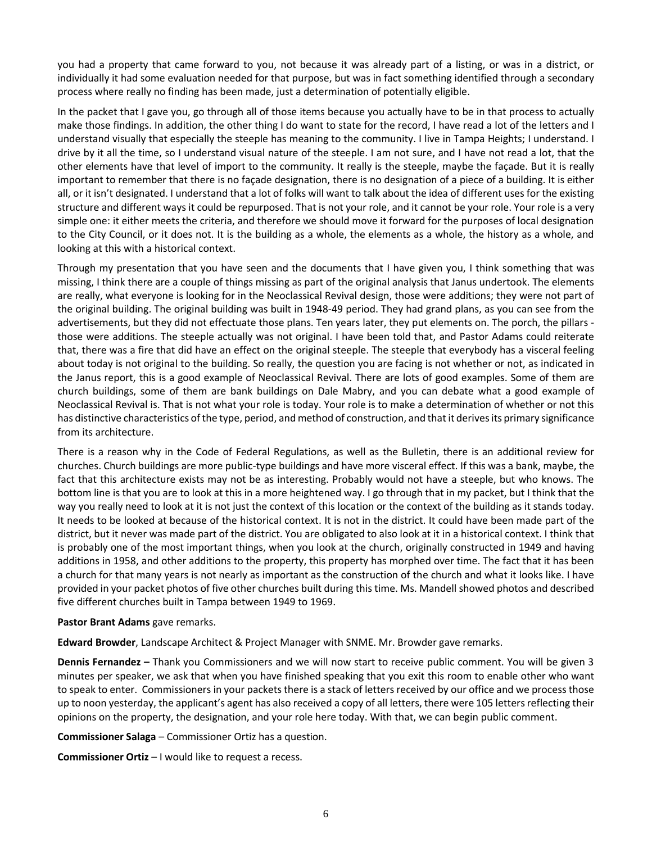you had a property that came forward to you, not because it was already part of a listing, or was in a district, or individually it had some evaluation needed for that purpose, but was in fact something identified through a secondary process where really no finding has been made, just a determination of potentially eligible.

In the packet that I gave you, go through all of those items because you actually have to be in that process to actually make those findings. In addition, the other thing I do want to state for the record, I have read a lot of the letters and I understand visually that especially the steeple has meaning to the community. I live in Tampa Heights; I understand. I drive by it all the time, so I understand visual nature of the steeple. I am not sure, and I have not read a lot, that the other elements have that level of import to the community. It really is the steeple, maybe the façade. But it is really important to remember that there is no façade designation, there is no designation of a piece of a building. It is either all, or it isn't designated. I understand that a lot of folks will want to talk about the idea of different uses for the existing structure and different ways it could be repurposed. That is not your role, and it cannot be your role. Your role is a very simple one: it either meets the criteria, and therefore we should move it forward for the purposes of local designation to the City Council, or it does not. It is the building as a whole, the elements as a whole, the history as a whole, and looking at this with a historical context.

Through my presentation that you have seen and the documents that I have given you, I think something that was missing, I think there are a couple of things missing as part of the original analysis that Janus undertook. The elements are really, what everyone is looking for in the Neoclassical Revival design, those were additions; they were not part of the original building. The original building was built in 1948-49 period. They had grand plans, as you can see from the advertisements, but they did not effectuate those plans. Ten years later, they put elements on. The porch, the pillars those were additions. The steeple actually was not original. I have been told that, and Pastor Adams could reiterate that, there was a fire that did have an effect on the original steeple. The steeple that everybody has a visceral feeling about today is not original to the building. So really, the question you are facing is not whether or not, as indicated in the Janus report, this is a good example of Neoclassical Revival. There are lots of good examples. Some of them are church buildings, some of them are bank buildings on Dale Mabry, and you can debate what a good example of Neoclassical Revival is. That is not what your role is today. Your role is to make a determination of whether or not this has distinctive characteristics of the type, period, and method of construction, and that it derives its primary significance from its architecture.

There is a reason why in the Code of Federal Regulations, as well as the Bulletin, there is an additional review for churches. Church buildings are more public-type buildings and have more visceral effect. If this was a bank, maybe, the fact that this architecture exists may not be as interesting. Probably would not have a steeple, but who knows. The bottom line is that you are to look at this in a more heightened way. I go through that in my packet, but I think that the way you really need to look at it is not just the context of this location or the context of the building as it stands today. It needs to be looked at because of the historical context. It is not in the district. It could have been made part of the district, but it never was made part of the district. You are obligated to also look at it in a historical context. I think that is probably one of the most important things, when you look at the church, originally constructed in 1949 and having additions in 1958, and other additions to the property, this property has morphed over time. The fact that it has been a church for that many years is not nearly as important as the construction of the church and what it looks like. I have provided in your packet photos of five other churches built during this time. Ms. Mandell showed photos and described five different churches built in Tampa between 1949 to 1969.

## **Pastor Brant Adams** gave remarks.

**Edward Browder**, Landscape Architect & Project Manager with SNME. Mr. Browder gave remarks.

**Dennis Fernandez –** Thank you Commissioners and we will now start to receive public comment. You will be given 3 minutes per speaker, we ask that when you have finished speaking that you exit this room to enable other who want to speak to enter. Commissioners in your packets there is a stack of letters received by our office and we process those up to noon yesterday, the applicant's agent has also received a copy of all letters, there were 105 letters reflecting their opinions on the property, the designation, and your role here today. With that, we can begin public comment.

**Commissioner Salaga** – Commissioner Ortiz has a question.

**Commissioner Ortiz** – I would like to request a recess.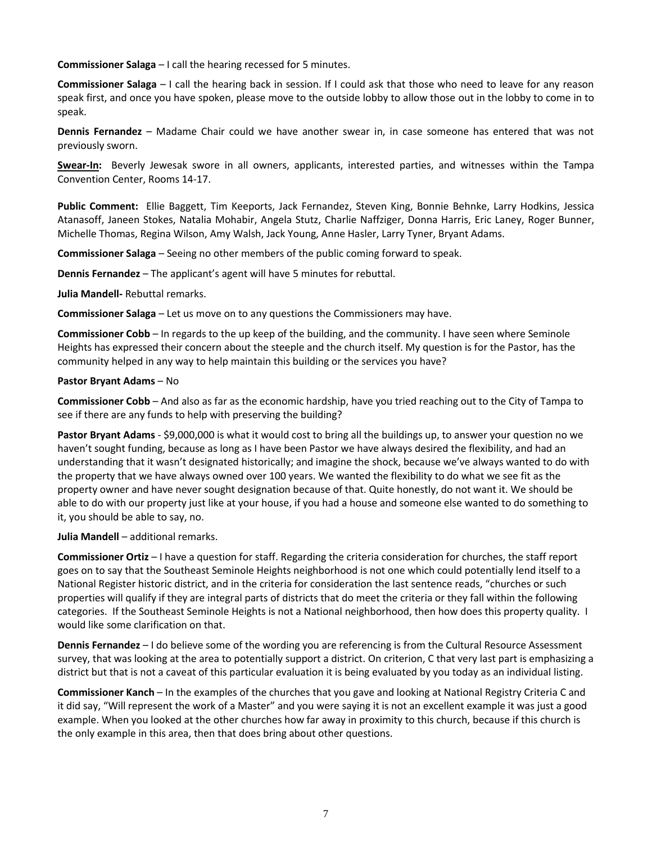**Commissioner Salaga** – I call the hearing recessed for 5 minutes.

**Commissioner Salaga** – I call the hearing back in session. If I could ask that those who need to leave for any reason speak first, and once you have spoken, please move to the outside lobby to allow those out in the lobby to come in to speak.

**Dennis Fernandez** – Madame Chair could we have another swear in, in case someone has entered that was not previously sworn.

**Swear-In:** Beverly Jewesak swore in all owners, applicants, interested parties, and witnesses within the Tampa Convention Center, Rooms 14-17.

**Public Comment:** Ellie Baggett, Tim Keeports, Jack Fernandez, Steven King, Bonnie Behnke, Larry Hodkins, Jessica Atanasoff, Janeen Stokes, Natalia Mohabir, Angela Stutz, Charlie Naffziger, Donna Harris, Eric Laney, Roger Bunner, Michelle Thomas, Regina Wilson, Amy Walsh, Jack Young, Anne Hasler, Larry Tyner, Bryant Adams.

**Commissioner Salaga** – Seeing no other members of the public coming forward to speak.

**Dennis Fernandez** – The applicant's agent will have 5 minutes for rebuttal.

**Julia Mandell-** Rebuttal remarks.

**Commissioner Salaga** – Let us move on to any questions the Commissioners may have.

**Commissioner Cobb** – In regards to the up keep of the building, and the community. I have seen where Seminole Heights has expressed their concern about the steeple and the church itself. My question is for the Pastor, has the community helped in any way to help maintain this building or the services you have?

#### **Pastor Bryant Adams** – No

**Commissioner Cobb** – And also as far as the economic hardship, have you tried reaching out to the City of Tampa to see if there are any funds to help with preserving the building?

**Pastor Bryant Adams** - \$9,000,000 is what it would cost to bring all the buildings up, to answer your question no we haven't sought funding, because as long as I have been Pastor we have always desired the flexibility, and had an understanding that it wasn't designated historically; and imagine the shock, because we've always wanted to do with the property that we have always owned over 100 years. We wanted the flexibility to do what we see fit as the property owner and have never sought designation because of that. Quite honestly, do not want it. We should be able to do with our property just like at your house, if you had a house and someone else wanted to do something to it, you should be able to say, no.

**Julia Mandell** – additional remarks.

**Commissioner Ortiz** – I have a question for staff. Regarding the criteria consideration for churches, the staff report goes on to say that the Southeast Seminole Heights neighborhood is not one which could potentially lend itself to a National Register historic district, and in the criteria for consideration the last sentence reads, "churches or such properties will qualify if they are integral parts of districts that do meet the criteria or they fall within the following categories. If the Southeast Seminole Heights is not a National neighborhood, then how does this property quality. I would like some clarification on that.

**Dennis Fernandez** – I do believe some of the wording you are referencing is from the Cultural Resource Assessment survey, that was looking at the area to potentially support a district. On criterion, C that very last part is emphasizing a district but that is not a caveat of this particular evaluation it is being evaluated by you today as an individual listing.

**Commissioner Kanch** – In the examples of the churches that you gave and looking at National Registry Criteria C and it did say, "Will represent the work of a Master" and you were saying it is not an excellent example it was just a good example. When you looked at the other churches how far away in proximity to this church, because if this church is the only example in this area, then that does bring about other questions.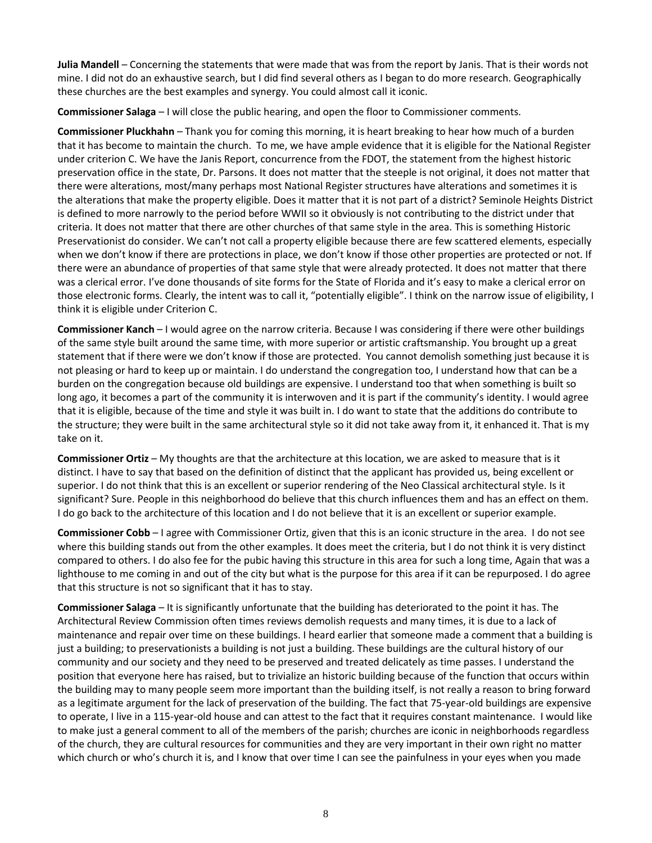**Julia Mandell** – Concerning the statements that were made that was from the report by Janis. That is their words not mine. I did not do an exhaustive search, but I did find several others as I began to do more research. Geographically these churches are the best examples and synergy. You could almost call it iconic.

**Commissioner Salaga** – I will close the public hearing, and open the floor to Commissioner comments.

**Commissioner Pluckhahn** – Thank you for coming this morning, it is heart breaking to hear how much of a burden that it has become to maintain the church. To me, we have ample evidence that it is eligible for the National Register under criterion C. We have the Janis Report, concurrence from the FDOT, the statement from the highest historic preservation office in the state, Dr. Parsons. It does not matter that the steeple is not original, it does not matter that there were alterations, most/many perhaps most National Register structures have alterations and sometimes it is the alterations that make the property eligible. Does it matter that it is not part of a district? Seminole Heights District is defined to more narrowly to the period before WWII so it obviously is not contributing to the district under that criteria. It does not matter that there are other churches of that same style in the area. This is something Historic Preservationist do consider. We can't not call a property eligible because there are few scattered elements, especially when we don't know if there are protections in place, we don't know if those other properties are protected or not. If there were an abundance of properties of that same style that were already protected. It does not matter that there was a clerical error. I've done thousands of site forms for the State of Florida and it's easy to make a clerical error on those electronic forms. Clearly, the intent was to call it, "potentially eligible". I think on the narrow issue of eligibility, I think it is eligible under Criterion C.

**Commissioner Kanch** – I would agree on the narrow criteria. Because I was considering if there were other buildings of the same style built around the same time, with more superior or artistic craftsmanship. You brought up a great statement that if there were we don't know if those are protected. You cannot demolish something just because it is not pleasing or hard to keep up or maintain. I do understand the congregation too, I understand how that can be a burden on the congregation because old buildings are expensive. I understand too that when something is built so long ago, it becomes a part of the community it is interwoven and it is part if the community's identity. I would agree that it is eligible, because of the time and style it was built in. I do want to state that the additions do contribute to the structure; they were built in the same architectural style so it did not take away from it, it enhanced it. That is my take on it.

**Commissioner Ortiz** – My thoughts are that the architecture at this location, we are asked to measure that is it distinct. I have to say that based on the definition of distinct that the applicant has provided us, being excellent or superior. I do not think that this is an excellent or superior rendering of the Neo Classical architectural style. Is it significant? Sure. People in this neighborhood do believe that this church influences them and has an effect on them. I do go back to the architecture of this location and I do not believe that it is an excellent or superior example.

**Commissioner Cobb** – I agree with Commissioner Ortiz, given that this is an iconic structure in the area. I do not see where this building stands out from the other examples. It does meet the criteria, but I do not think it is very distinct compared to others. I do also fee for the pubic having this structure in this area for such a long time, Again that was a lighthouse to me coming in and out of the city but what is the purpose for this area if it can be repurposed. I do agree that this structure is not so significant that it has to stay.

**Commissioner Salaga** – It is significantly unfortunate that the building has deteriorated to the point it has. The Architectural Review Commission often times reviews demolish requests and many times, it is due to a lack of maintenance and repair over time on these buildings. I heard earlier that someone made a comment that a building is just a building; to preservationists a building is not just a building. These buildings are the cultural history of our community and our society and they need to be preserved and treated delicately as time passes. I understand the position that everyone here has raised, but to trivialize an historic building because of the function that occurs within the building may to many people seem more important than the building itself, is not really a reason to bring forward as a legitimate argument for the lack of preservation of the building. The fact that 75-year-old buildings are expensive to operate, I live in a 115-year-old house and can attest to the fact that it requires constant maintenance. I would like to make just a general comment to all of the members of the parish; churches are iconic in neighborhoods regardless of the church, they are cultural resources for communities and they are very important in their own right no matter which church or who's church it is, and I know that over time I can see the painfulness in your eyes when you made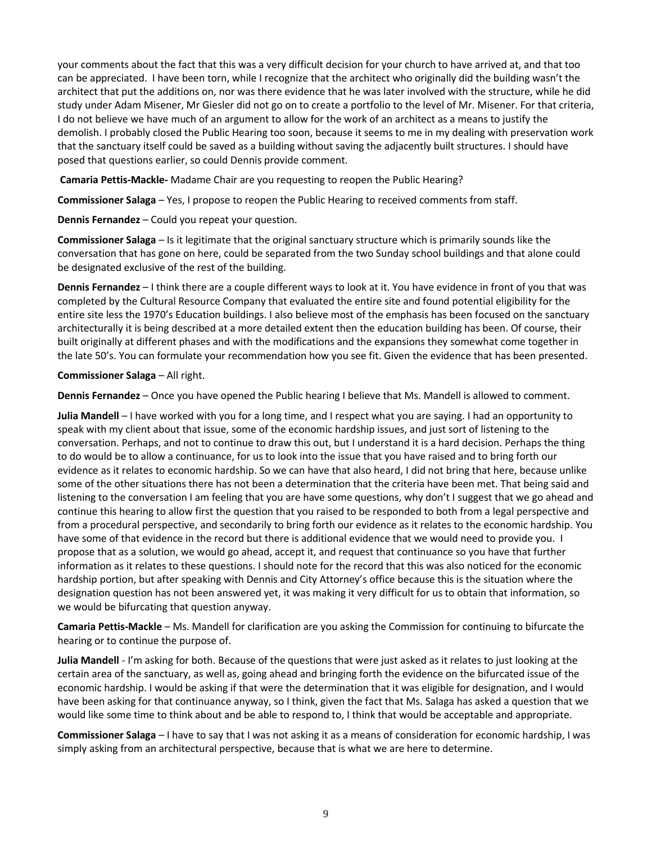your comments about the fact that this was a very difficult decision for your church to have arrived at, and that too can be appreciated. I have been torn, while I recognize that the architect who originally did the building wasn't the architect that put the additions on, nor was there evidence that he was later involved with the structure, while he did study under Adam Misener, Mr Giesler did not go on to create a portfolio to the level of Mr. Misener. For that criteria, I do not believe we have much of an argument to allow for the work of an architect as a means to justify the demolish. I probably closed the Public Hearing too soon, because it seems to me in my dealing with preservation work that the sanctuary itself could be saved as a building without saving the adjacently built structures. I should have posed that questions earlier, so could Dennis provide comment.

**Camaria Pettis-Mackle-** Madame Chair are you requesting to reopen the Public Hearing?

**Commissioner Salaga** – Yes, I propose to reopen the Public Hearing to received comments from staff.

**Dennis Fernandez** – Could you repeat your question.

**Commissioner Salaga** – Is it legitimate that the original sanctuary structure which is primarily sounds like the conversation that has gone on here, could be separated from the two Sunday school buildings and that alone could be designated exclusive of the rest of the building.

**Dennis Fernandez** – I think there are a couple different ways to look at it. You have evidence in front of you that was completed by the Cultural Resource Company that evaluated the entire site and found potential eligibility for the entire site less the 1970's Education buildings. I also believe most of the emphasis has been focused on the sanctuary architecturally it is being described at a more detailed extent then the education building has been. Of course, their built originally at different phases and with the modifications and the expansions they somewhat come together in the late 50's. You can formulate your recommendation how you see fit. Given the evidence that has been presented.

**Commissioner Salaga** – All right.

**Dennis Fernandez** – Once you have opened the Public hearing I believe that Ms. Mandell is allowed to comment.

**Julia Mandell** – I have worked with you for a long time, and I respect what you are saying. I had an opportunity to speak with my client about that issue, some of the economic hardship issues, and just sort of listening to the conversation. Perhaps, and not to continue to draw this out, but I understand it is a hard decision. Perhaps the thing to do would be to allow a continuance, for us to look into the issue that you have raised and to bring forth our evidence as it relates to economic hardship. So we can have that also heard, I did not bring that here, because unlike some of the other situations there has not been a determination that the criteria have been met. That being said and listening to the conversation I am feeling that you are have some questions, why don't I suggest that we go ahead and continue this hearing to allow first the question that you raised to be responded to both from a legal perspective and from a procedural perspective, and secondarily to bring forth our evidence as it relates to the economic hardship. You have some of that evidence in the record but there is additional evidence that we would need to provide you. I propose that as a solution, we would go ahead, accept it, and request that continuance so you have that further information as it relates to these questions. I should note for the record that this was also noticed for the economic hardship portion, but after speaking with Dennis and City Attorney's office because this is the situation where the designation question has not been answered yet, it was making it very difficult for us to obtain that information, so we would be bifurcating that question anyway.

**Camaria Pettis-Mackle** – Ms. Mandell for clarification are you asking the Commission for continuing to bifurcate the hearing or to continue the purpose of.

**Julia Mandell** - I'm asking for both. Because of the questions that were just asked as it relates to just looking at the certain area of the sanctuary, as well as, going ahead and bringing forth the evidence on the bifurcated issue of the economic hardship. I would be asking if that were the determination that it was eligible for designation, and I would have been asking for that continuance anyway, so I think, given the fact that Ms. Salaga has asked a question that we would like some time to think about and be able to respond to, I think that would be acceptable and appropriate.

**Commissioner Salaga** – I have to say that I was not asking it as a means of consideration for economic hardship, I was simply asking from an architectural perspective, because that is what we are here to determine.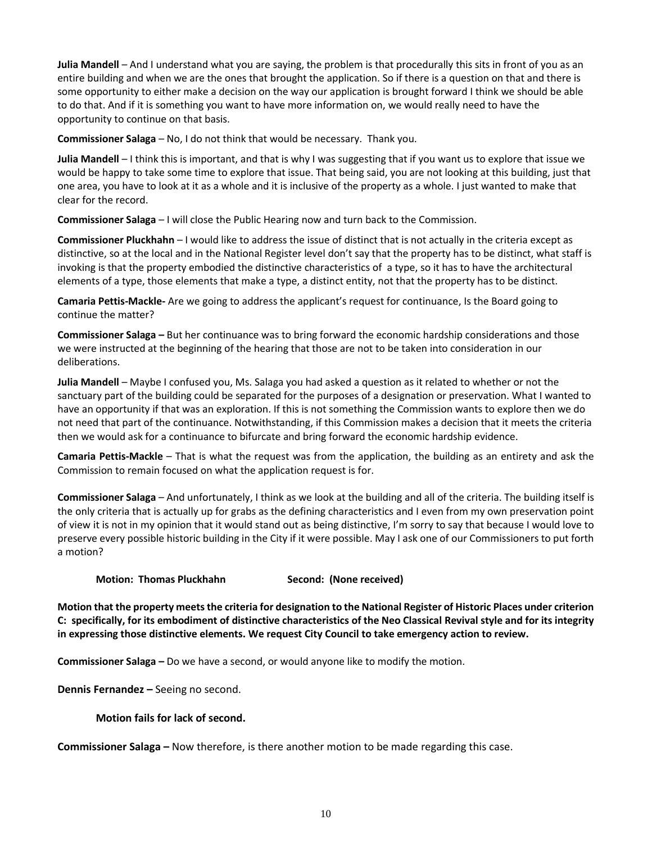**Julia Mandell** – And I understand what you are saying, the problem is that procedurally this sits in front of you as an entire building and when we are the ones that brought the application. So if there is a question on that and there is some opportunity to either make a decision on the way our application is brought forward I think we should be able to do that. And if it is something you want to have more information on, we would really need to have the opportunity to continue on that basis.

**Commissioner Salaga** – No, I do not think that would be necessary. Thank you.

**Julia Mandell** – I think this is important, and that is why I was suggesting that if you want us to explore that issue we would be happy to take some time to explore that issue. That being said, you are not looking at this building, just that one area, you have to look at it as a whole and it is inclusive of the property as a whole. I just wanted to make that clear for the record.

**Commissioner Salaga** – I will close the Public Hearing now and turn back to the Commission.

**Commissioner Pluckhahn** – I would like to address the issue of distinct that is not actually in the criteria except as distinctive, so at the local and in the National Register level don't say that the property has to be distinct, what staff is invoking is that the property embodied the distinctive characteristics of a type, so it has to have the architectural elements of a type, those elements that make a type, a distinct entity, not that the property has to be distinct.

**Camaria Pettis-Mackle-** Are we going to address the applicant's request for continuance, Is the Board going to continue the matter?

**Commissioner Salaga –** But her continuance was to bring forward the economic hardship considerations and those we were instructed at the beginning of the hearing that those are not to be taken into consideration in our deliberations.

**Julia Mandell** – Maybe I confused you, Ms. Salaga you had asked a question as it related to whether or not the sanctuary part of the building could be separated for the purposes of a designation or preservation. What I wanted to have an opportunity if that was an exploration. If this is not something the Commission wants to explore then we do not need that part of the continuance. Notwithstanding, if this Commission makes a decision that it meets the criteria then we would ask for a continuance to bifurcate and bring forward the economic hardship evidence.

**Camaria Pettis-Mackle** – That is what the request was from the application, the building as an entirety and ask the Commission to remain focused on what the application request is for.

**Commissioner Salaga** – And unfortunately, I think as we look at the building and all of the criteria. The building itself is the only criteria that is actually up for grabs as the defining characteristics and I even from my own preservation point of view it is not in my opinion that it would stand out as being distinctive, I'm sorry to say that because I would love to preserve every possible historic building in the City if it were possible. May I ask one of our Commissioners to put forth a motion?

**Motion: Thomas Pluckhahn Second: (None received)** 

**Motion that the property meets the criteria for designation to the National Register of Historic Places under criterion C: specifically, for its embodiment of distinctive characteristics of the Neo Classical Revival style and for its integrity in expressing those distinctive elements. We request City Council to take emergency action to review.**

**Commissioner Salaga –** Do we have a second, or would anyone like to modify the motion.

**Dennis Fernandez –** Seeing no second.

**Motion fails for lack of second.**

**Commissioner Salaga –** Now therefore, is there another motion to be made regarding this case.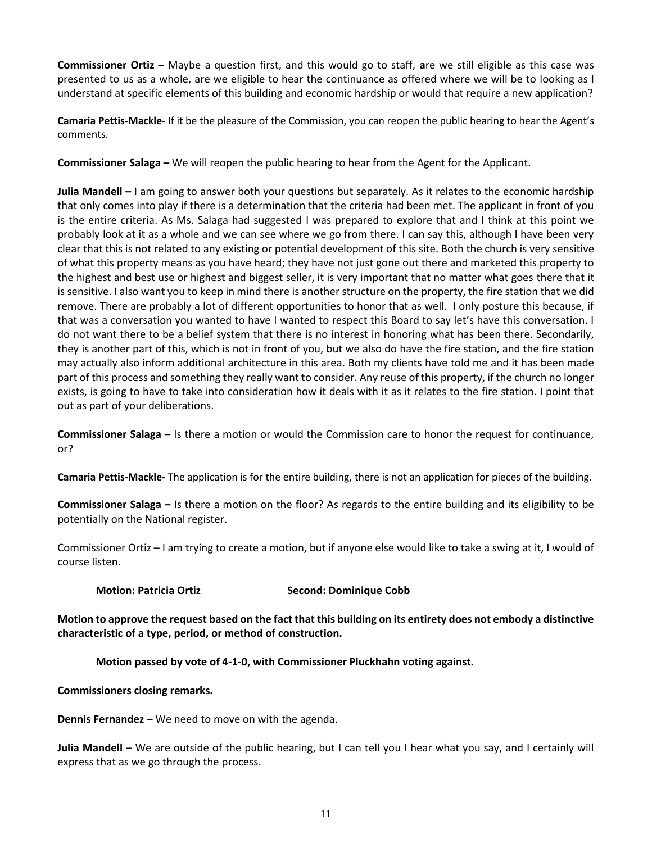**Commissioner Ortiz –** Maybe a question first, and this would go to staff, **a**re we still eligible as this case was presented to us as a whole, are we eligible to hear the continuance as offered where we will be to looking as I understand at specific elements of this building and economic hardship or would that require a new application?

**Camaria Pettis-Mackle-** If it be the pleasure of the Commission, you can reopen the public hearing to hear the Agent's comments.

**Commissioner Salaga –** We will reopen the public hearing to hear from the Agent for the Applicant.

**Julia Mandell –** I am going to answer both your questions but separately. As it relates to the economic hardship that only comes into play if there is a determination that the criteria had been met. The applicant in front of you is the entire criteria. As Ms. Salaga had suggested I was prepared to explore that and I think at this point we probably look at it as a whole and we can see where we go from there. I can say this, although I have been very clear that this is not related to any existing or potential development of this site. Both the church is very sensitive of what this property means as you have heard; they have not just gone out there and marketed this property to the highest and best use or highest and biggest seller, it is very important that no matter what goes there that it is sensitive. I also want you to keep in mind there is another structure on the property, the fire station that we did remove. There are probably a lot of different opportunities to honor that as well. I only posture this because, if that was a conversation you wanted to have I wanted to respect this Board to say let's have this conversation. I do not want there to be a belief system that there is no interest in honoring what has been there. Secondarily, they is another part of this, which is not in front of you, but we also do have the fire station, and the fire station may actually also inform additional architecture in this area. Both my clients have told me and it has been made part of this process and something they really want to consider. Any reuse of this property, if the church no longer exists, is going to have to take into consideration how it deals with it as it relates to the fire station. I point that out as part of your deliberations.

**Commissioner Salaga –** Is there a motion or would the Commission care to honor the request for continuance, or?

**Camaria Pettis-Mackle-** The application is for the entire building, there is not an application for pieces of the building.

**Commissioner Salaga –** Is there a motion on the floor? As regards to the entire building and its eligibility to be potentially on the National register.

Commissioner Ortiz – I am trying to create a motion, but if anyone else would like to take a swing at it, I would of course listen.

**Motion: Patricia Ortiz Second: Dominique Cobb**

**Motion to approve the request based on the fact that this building on its entirety does not embody a distinctive characteristic of a type, period, or method of construction.**

**Motion passed by vote of 4-1-0, with Commissioner Pluckhahn voting against.**

**Commissioners closing remarks.**

**Dennis Fernandez** – We need to move on with the agenda.

**Julia Mandell** – We are outside of the public hearing, but I can tell you I hear what you say, and I certainly will express that as we go through the process.